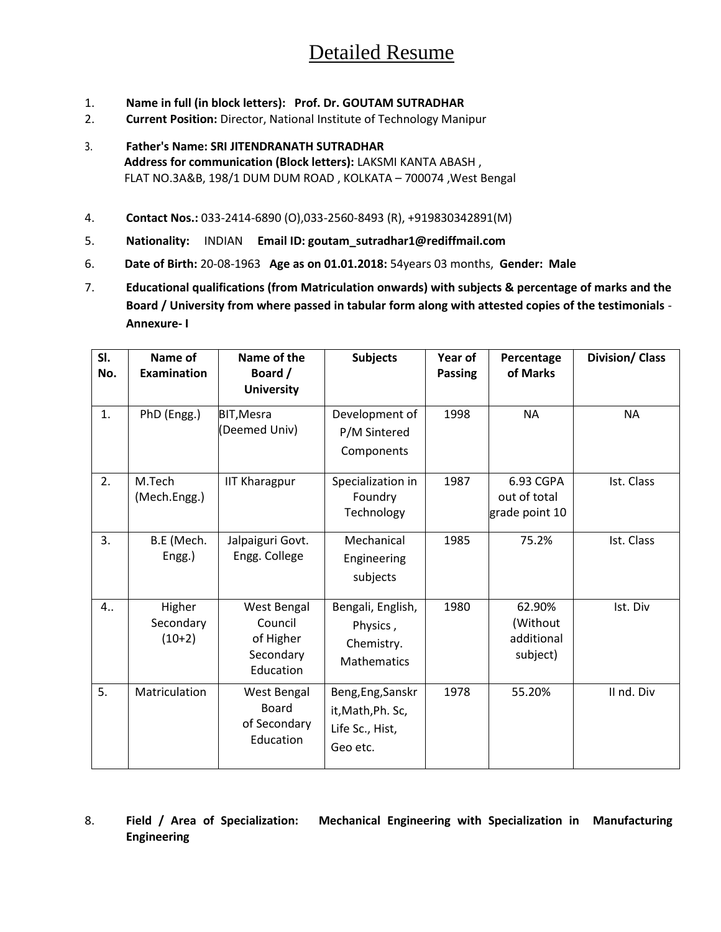# Detailed Resume

- 1. **Name in full (in block letters): Prof. Dr. GOUTAM SUTRADHAR**
- 2. **Current Position:** Director, National Institute of Technology Manipur
- 3. **Father's Name: SRI JITENDRANATH SUTRADHAR Address for communication (Block letters):** LAKSMI KANTA ABASH , FLAT NO.3A&B, 198/1 DUM DUM ROAD , KOLKATA – 700074 ,West Bengal
- 4. **Contact Nos.:** 033-2414-6890 (O),033-2560-8493 (R), +919830342891(M)
- 5. **Nationality:** INDIAN **Email ID: goutam\_sutradhar1@rediffmail.com**
- 6. **Date of Birth:** 20-08-1963 **Age as on 01.01.2018:** 54years 03 months, **Gender: Male**
- 7. **Educational qualifications (from Matriculation onwards) with subjects & percentage of marks and the Board / University from where passed in tabular form along with attested copies of the testimonials** - **Annexure- I**

| SI.<br>No. | Name of<br><b>Examination</b>   | Name of the<br>Board /<br><b>University</b>                   | <b>Subjects</b>                                                       | Year of<br><b>Passing</b> | Percentage<br>of Marks                       | <b>Division/ Class</b> |
|------------|---------------------------------|---------------------------------------------------------------|-----------------------------------------------------------------------|---------------------------|----------------------------------------------|------------------------|
| 1.         | PhD (Engg.)                     | <b>BIT, Mesra</b><br>(Deemed Univ)                            | Development of<br>P/M Sintered<br>Components                          | 1998                      | <b>NA</b>                                    | <b>NA</b>              |
| 2.         | M.Tech<br>(Mech.Engg.)          | <b>IIT Kharagpur</b>                                          | Specialization in<br>Foundry<br>Technology                            | 1987                      | 6.93 CGPA<br>out of total<br>grade point 10  | Ist. Class             |
| 3.         | B.E (Mech.<br>Engg.)            | Jalpaiguri Govt.<br>Engg. College                             | Mechanical<br>Engineering<br>subjects                                 | 1985                      | 75.2%                                        | Ist. Class             |
| 4          | Higher<br>Secondary<br>$(10+2)$ | West Bengal<br>Council<br>of Higher<br>Secondary<br>Education | Bengali, English,<br>Physics,<br>Chemistry.<br><b>Mathematics</b>     | 1980                      | 62.90%<br>(Without<br>additional<br>subject) | Ist. Div               |
| 5.         | Matriculation                   | West Bengal<br><b>Board</b><br>of Secondary<br>Education      | Beng, Eng, Sanskr<br>it, Math, Ph. Sc,<br>Life Sc., Hist,<br>Geo etc. | 1978                      | 55.20%                                       | II nd. Div             |

8. **Field / Area of Specialization: Mechanical Engineering with Specialization in Manufacturing Engineering**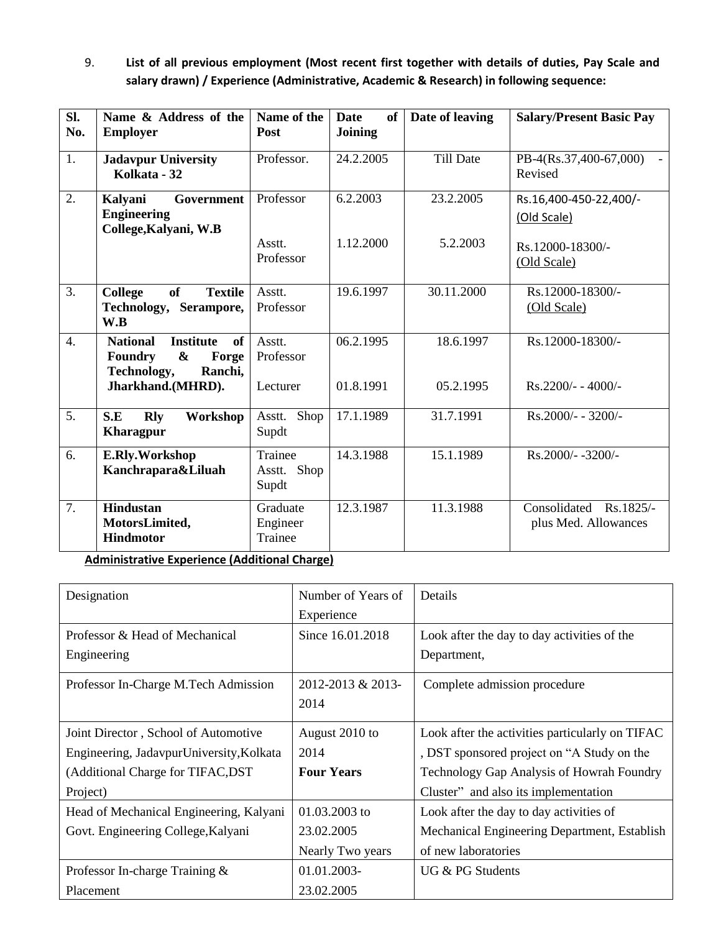9. **List of all previous employment (Most recent first together with details of duties, Pay Scale and salary drawn) / Experience (Administrative, Academic & Research) in following sequence:** 

| SI.<br>No.       | Name & Address of the<br><b>Employer</b>                                                                                                 | Name of the<br>Post                | <b>Date</b><br>of<br>Joining | Date of leaving        | <b>Salary/Present Basic Pay</b>                           |
|------------------|------------------------------------------------------------------------------------------------------------------------------------------|------------------------------------|------------------------------|------------------------|-----------------------------------------------------------|
| 1.               | <b>Jadavpur University</b><br>Kolkata - 32                                                                                               | Professor.                         | 24.2.2005                    | Till Date              | PB-4(Rs.37,400-67,000)<br>Revised                         |
| 2.               | Government<br>Kalyani<br><b>Engineering</b><br>College, Kalyani, W.B                                                                     | Professor<br>Asstt.<br>Professor   | 6.2.2003<br>1.12.2000        | 23.2.2005<br>5.2.2003  | Rs.16,400-450-22,400/-<br>(Old Scale)<br>Rs.12000-18300/- |
| 3.               | <b>of</b><br><b>College</b><br><b>Textile</b><br>Technology,<br>Serampore,<br>W.B                                                        | Asstt.<br>Professor                | 19.6.1997                    | 30.11.2000             | (Old Scale)<br>Rs.12000-18300/-<br>(Old Scale)            |
| $\overline{4}$ . | <b>National</b><br><b>Institute</b><br>of<br>$\boldsymbol{\&}$<br>Forge<br><b>Foundry</b><br>Technology,<br>Ranchi,<br>Jharkhand.(MHRD). | Asstt.<br>Professor<br>Lecturer    | 06.2.1995<br>01.8.1991       | 18.6.1997<br>05.2.1995 | Rs.12000-18300/-<br>$Rs.2200/- - 4000/-$                  |
| 5.               | S.E<br><b>Rly</b><br>Workshop<br><b>Kharagpur</b>                                                                                        | Shop<br>Asstt.<br>Supdt            | 17.1.1989                    | 31.7.1991              | Rs.2000/- - 3200/-                                        |
| 6.               | E.Rly.Workshop<br>Kanchrapara&Liluah                                                                                                     | Trainee<br>Shop<br>Asstt.<br>Supdt | 14.3.1988                    | 15.1.1989              | Rs.2000/--3200/-                                          |
| $\overline{7}$ . | <b>Hindustan</b><br>MotorsLimited,<br><b>Hindmotor</b>                                                                                   | Graduate<br>Engineer<br>Trainee    | 12.3.1987                    | 11.3.1988              | Consolidated Rs.1825/-<br>plus Med. Allowances            |

**Administrative Experience (Additional Charge)**

| Designation                              | Number of Years of | Details                                         |
|------------------------------------------|--------------------|-------------------------------------------------|
|                                          | Experience         |                                                 |
| Professor & Head of Mechanical           | Since 16.01.2018   | Look after the day to day activities of the     |
| Engineering                              |                    | Department,                                     |
| Professor In-Charge M.Tech Admission     | 2012-2013 & 2013-  | Complete admission procedure                    |
|                                          | 2014               |                                                 |
| Joint Director, School of Automotive     | August 2010 to     | Look after the activities particularly on TIFAC |
| Engineering, JadavpurUniversity, Kolkata | 2014               | , DST sponsored project on "A Study on the      |
| (Additional Charge for TIFAC, DST        | <b>Four Years</b>  | Technology Gap Analysis of Howrah Foundry       |
| Project)                                 |                    | Cluster" and also its implementation            |
| Head of Mechanical Engineering, Kalyani  | $01.03.2003$ to    | Look after the day to day activities of         |
| Govt. Engineering College, Kalyani       | 23.02.2005         | Mechanical Engineering Department, Establish    |
|                                          | Nearly Two years   | of new laboratories                             |
| Professor In-charge Training &           | $01.01.2003 -$     | UG & PG Students                                |
| Placement                                | 23.02.2005         |                                                 |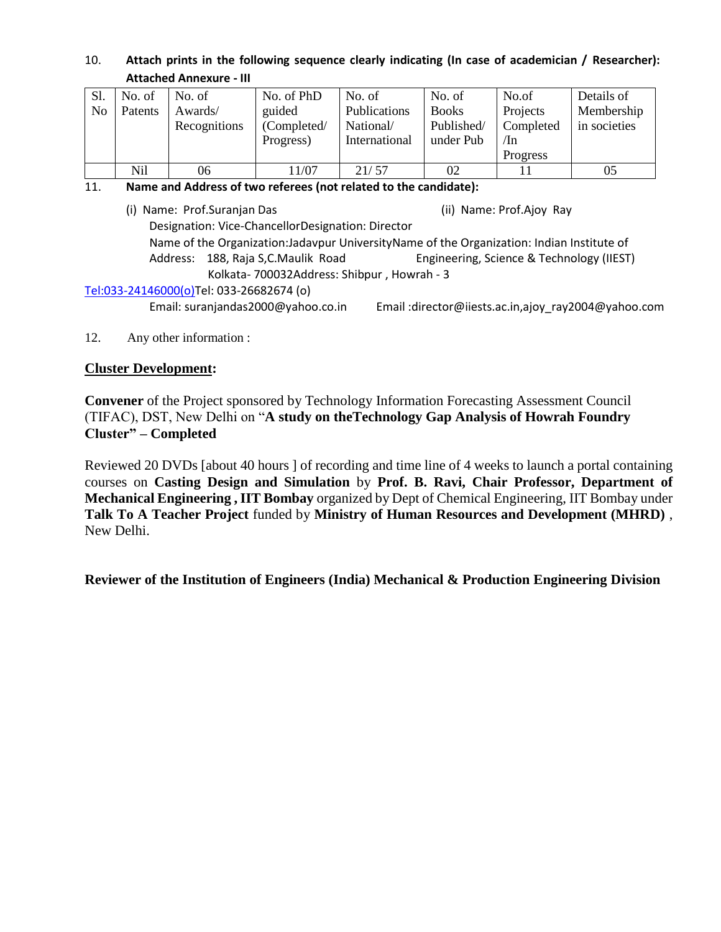### 10. **Attach prints in the following sequence clearly indicating (In case of academician / Researcher): Attached Annexure - III**

| Sl. | No. of  | No. of       | No. of PhD  | No. of        | No. of       | No.of     | Details of   |
|-----|---------|--------------|-------------|---------------|--------------|-----------|--------------|
| No  | Patents | Awards/      | guided      | Publications  | <b>Books</b> | Projects  | Membership   |
|     |         | Recognitions | (Completed/ | National/     | Published/   | Completed | in societies |
|     |         |              | Progress)   | International | under Pub    | /In       |              |
|     |         |              |             |               |              | Progress  |              |
|     | Nil     | 06           | 11/07       | 21/57         | 02           |           | 05           |

#### 11. **Name and Address of two referees (not related to the candidate):**

(i) Name: Prof.Suranjan Das (ii) Name: Prof.Ajoy Ray Designation: Vice-ChancellorDesignation: Director Name of the Organization:Jadavpur UniversityName of the Organization: Indian Institute of Address: 188, Raja S,C.Maulik Road Engineering, Science & Technology (IIEST) Kolkata- 700032Address: Shibpur , Howrah - 3 [Tel:033-24146000\(o\)T](tel:033-24146000(o))el: 033-26682674 (o)

Email: suranjandas2000@yahoo.co.in Email :director@iiests.ac.in,ajoy\_ray2004@yahoo.com

### 12. Any other information :

### **Cluster Development:**

**Convener** of the Project sponsored by Technology Information Forecasting Assessment Council (TIFAC), DST, New Delhi on "**A study on theTechnology Gap Analysis of Howrah Foundry Cluster" – Completed**

Reviewed 20 DVDs [about 40 hours ] of recording and time line of 4 weeks to launch a portal containing courses on **Casting Design and Simulation** by **Prof. B. Ravi, Chair Professor, Department of Mechanical Engineering , IIT Bombay** organized by Dept of Chemical Engineering, IIT Bombay under **Talk To A Teacher Project** funded by **Ministry of Human Resources and Development (MHRD)** , New Delhi.

**Reviewer of the Institution of Engineers (India) Mechanical & Production Engineering Division**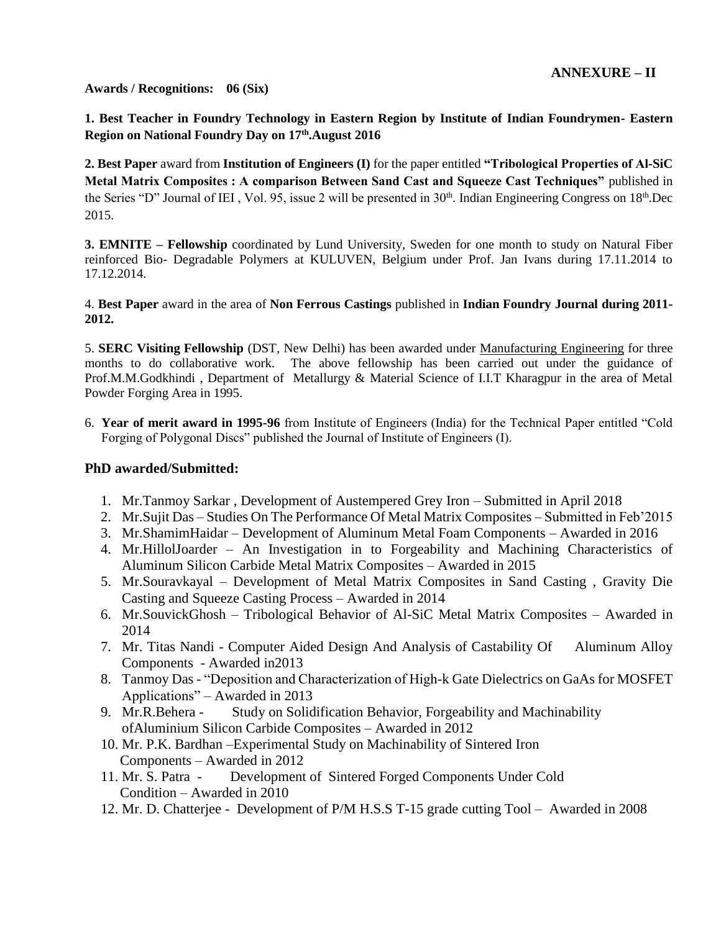**Awards / Recognitions: 06 (Six)**

**1. Best Teacher in Foundry Technology in Eastern Region by Institute of Indian Foundrymen- Eastern Region on National Foundry Day on 17th.August 2016**

**2. Best Paper** award from **Institution of Engineers (I)** for the paper entitled **"Tribological Properties of Al-SiC Metal Matrix Composites : A comparison Between Sand Cast and Squeeze Cast Techniques"** published in the Series "D" Journal of IEI, Vol. 95, issue 2 will be presented in  $30<sup>th</sup>$ . Indian Engineering Congress on  $18<sup>th</sup>$ .Dec 2015.

**3. EMNITE – Fellowship** coordinated by Lund University, Sweden for one month to study on Natural Fiber reinforced Bio- Degradable Polymers at KULUVEN, Belgium under Prof. Jan Ivans during 17.11.2014 to 17.12.2014.

4. **Best Paper** award in the area of **Non Ferrous Castings** published in **Indian Foundry Journal during 2011- 2012.**

5. **SERC Visiting Fellowship** (DST, New Delhi) has been awarded under Manufacturing Engineering for three months to do collaborative work. The above fellowship has been carried out under the guidance of Prof.M.M.Godkhindi , Department of Metallurgy & Material Science of I.I.T Kharagpur in the area of Metal Powder Forging Area in 1995.

6. **Year of merit award in 1995-96** from Institute of Engineers (India) for the Technical Paper entitled "Cold Forging of Polygonal Discs" published the Journal of Institute of Engineers (I).

### **PhD awarded/Submitted:**

- 1. Mr.Tanmoy Sarkar , Development of Austempered Grey Iron Submitted in April 2018
- 2. Mr.Sujit Das Studies On The Performance Of Metal Matrix Composites Submitted in Feb'2015
- 3. Mr.ShamimHaidar Development of Aluminum Metal Foam Components Awarded in 2016
- 4. Mr.HillolJoarder An Investigation in to Forgeability and Machining Characteristics of Aluminum Silicon Carbide Metal Matrix Composites – Awarded in 2015
- 5. Mr.Souravkayal Development of Metal Matrix Composites in Sand Casting , Gravity Die Casting and Squeeze Casting Process – Awarded in 2014
- 6. Mr.SouvickGhosh Tribological Behavior of Al-SiC Metal Matrix Composites Awarded in 2014
- 7. Mr. Titas Nandi Computer Aided Design And Analysis of Castability Of Aluminum Alloy Components - Awarded in2013
- 8. Tanmoy Das "Deposition and Characterization of High-k Gate Dielectrics on GaAs for MOSFET Applications" – Awarded in 2013
- 9. Mr.R.Behera Study on Solidification Behavior, Forgeability and Machinability ofAluminium Silicon Carbide Composites – Awarded in 2012
- 10. Mr. P.K. Bardhan –Experimental Study on Machinability of Sintered Iron Components – Awarded in 2012
- 11. Mr. S. Patra Development of Sintered Forged Components Under Cold Condition – Awarded in 2010
- 12. Mr. D. Chatterjee Development of P/M H.S.S T-15 grade cutting Tool Awarded in 2008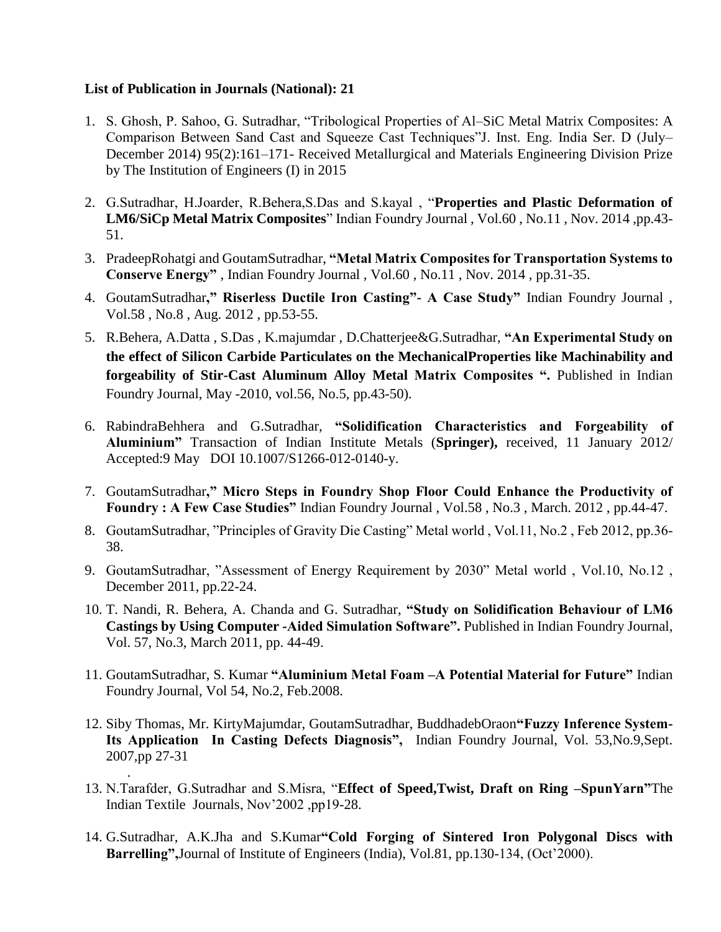### **List of Publication in Journals (National): 21**

.

- 1. S. Ghosh, P. Sahoo, G. Sutradhar, "Tribological Properties of Al–SiC Metal Matrix Composites: A Comparison Between Sand Cast and Squeeze Cast Techniques"J. Inst. Eng. India Ser. D (July– December 2014) 95(2):161–171- Received Metallurgical and Materials Engineering Division Prize by The Institution of Engineers (I) in 2015
- 2. G.Sutradhar, H.Joarder, R.Behera,S.Das and S.kayal , "**Properties and Plastic Deformation of LM6/SiCp Metal Matrix Composites**" Indian Foundry Journal , Vol.60 , No.11 , Nov. 2014 ,pp.43- 51.
- 3. PradeepRohatgi and GoutamSutradhar, **"Metal Matrix Composites for Transportation Systems to Conserve Energy"** , Indian Foundry Journal , Vol.60 , No.11 , Nov. 2014 , pp.31-35.
- 4. GoutamSutradhar**," Riserless Ductile Iron Casting"- A Case Study"** Indian Foundry Journal , Vol.58 , No.8 , Aug. 2012 , pp.53-55.
- 5. R.Behera, A.Datta , S.Das , K.majumdar , D.Chatterjee&G.Sutradhar, **"An Experimental Study on the effect of Silicon Carbide Particulates on the MechanicalProperties like Machinability and forgeability of Stir-Cast Aluminum Alloy Metal Matrix Composites ".** Published in Indian Foundry Journal, May -2010, vol.56, No.5, pp.43-50).
- 6. RabindraBehhera and G.Sutradhar, **"Solidification Characteristics and Forgeability of Aluminium"** Transaction of Indian Institute Metals (**Springer),** received, 11 January 2012/ Accepted:9 May DOI 10.1007/S1266-012-0140-y.
- 7. GoutamSutradhar**," Micro Steps in Foundry Shop Floor Could Enhance the Productivity of Foundry : A Few Case Studies"** Indian Foundry Journal , Vol.58 , No.3 , March. 2012 , pp.44-47.
- 8. GoutamSutradhar, "Principles of Gravity Die Casting" Metal world , Vol.11, No.2 , Feb 2012, pp.36- 38.
- 9. GoutamSutradhar, "Assessment of Energy Requirement by 2030" Metal world , Vol.10, No.12 , December 2011, pp.22-24.
- 10. T. Nandi, R. Behera, A. Chanda and G. Sutradhar, **"Study on Solidification Behaviour of LM6 Castings by Using Computer -Aided Simulation Software".** Published in Indian Foundry Journal, Vol. 57, No.3, March 2011, pp. 44-49.
- 11. GoutamSutradhar, S. Kumar **"Aluminium Metal Foam –A Potential Material for Future"** Indian Foundry Journal, Vol 54, No.2, Feb.2008.
- 12. Siby Thomas, Mr. KirtyMajumdar, GoutamSutradhar, BuddhadebOraon**"Fuzzy Inference System-Its Application In Casting Defects Diagnosis",** Indian Foundry Journal, Vol. 53,No.9,Sept. 2007,pp 27-31
- 13. N.Tarafder, G.Sutradhar and S.Misra, "**Effect of Speed,Twist, Draft on Ring –SpunYarn"**The Indian Textile Journals, Nov'2002 ,pp19-28.
- 14. G.Sutradhar, A.K.Jha and S.Kumar**"Cold Forging of Sintered Iron Polygonal Discs with Barrelling",**Journal of Institute of Engineers (India), Vol.81, pp.130-134, (Oct'2000).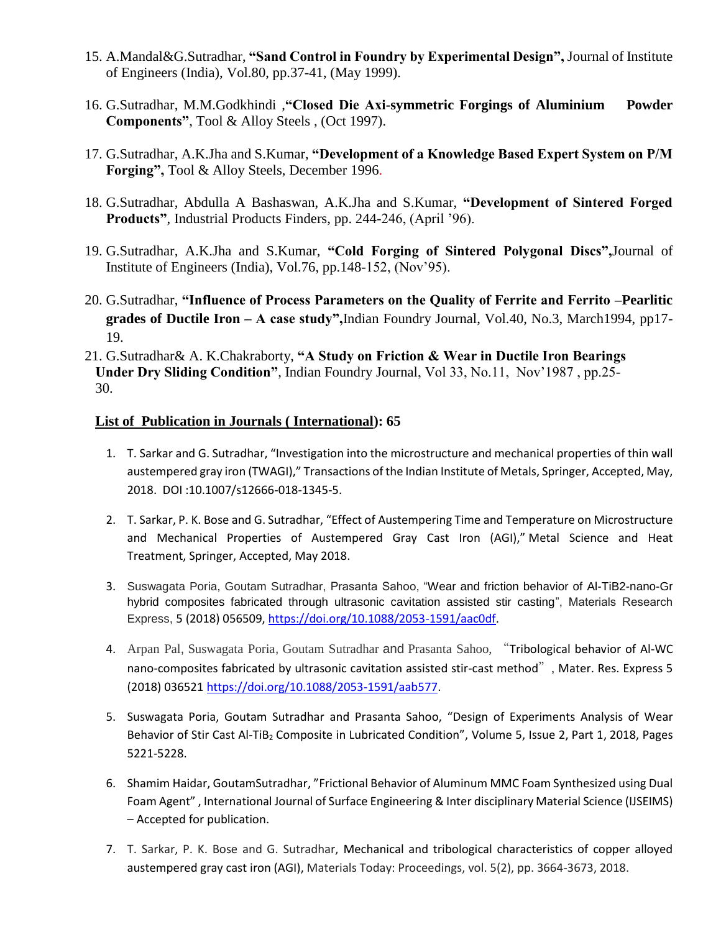- 15. A.Mandal&G.Sutradhar, **"Sand Control in Foundry by Experimental Design",** Journal of Institute of Engineers (India), Vol.80, pp.37-41, (May 1999).
- 16. G.Sutradhar, M.M.Godkhindi ,**"Closed Die Axi-symmetric Forgings of Aluminium Powder Components"**, Tool & Alloy Steels , (Oct 1997).
- 17. G.Sutradhar, A.K.Jha and S.Kumar, **"Development of a Knowledge Based Expert System on P/M Forging",** Tool & Alloy Steels, December 1996.
- 18. G.Sutradhar, Abdulla A Bashaswan, A.K.Jha and S.Kumar, **"Development of Sintered Forged Products"**, Industrial Products Finders, pp. 244-246, (April '96).
- 19. G.Sutradhar, A.K.Jha and S.Kumar, **"Cold Forging of Sintered Polygonal Discs",**Journal of Institute of Engineers (India), Vol.76, pp.148-152, (Nov'95).
- 20. G.Sutradhar, **"Influence of Process Parameters on the Quality of Ferrite and Ferrito –Pearlitic grades of Ductile Iron – A case study",**Indian Foundry Journal, Vol.40, No.3, March1994, pp17- 19.
- 21. G.Sutradhar& A. K.Chakraborty, **"A Study on Friction & Wear in Ductile Iron Bearings Under Dry Sliding Condition"**, Indian Foundry Journal, Vol 33, No.11, Nov'1987 , pp.25- 30.

### **List of Publication in Journals ( International): 65**

- 1. T. Sarkar and G. Sutradhar, "Investigation into the microstructure and mechanical properties of thin wall austempered gray iron (TWAGI)," Transactions of the Indian Institute of Metals, Springer, Accepted, May, 2018. DOI :10.1007/s12666-018-1345-5.
- 2. T. Sarkar, P. K. Bose and G. Sutradhar, "Effect of Austempering Time and Temperature on Microstructure and Mechanical Properties of Austempered Gray Cast Iron (AGI)," Metal Science and Heat Treatment, Springer, Accepted, May 2018.
- 3. Suswagata Poria, Goutam Sutradhar, Prasanta Sahoo, ["Wear and friction behavior of Al-TiB2-nano-Gr](http://iopscience.iop.org/article/10.1088/2053-1591/aac0df/meta)  [hybrid composites fabricated through ultrasonic cavitation assisted stir casting"](http://iopscience.iop.org/article/10.1088/2053-1591/aac0df/meta), Materials Research Express, 5 (2018) 056509, [https://doi.org/10.1088/2053-1591/aac0df.](https://doi.org/10.1088/2053-1591/aac0df)
- 4. Arpan Pal, Suswagata Poria, Goutam Sutradhar and Prasanta Sahoo, "Tribological behavior of Al-WC nano-composites fabricated by ultrasonic cavitation assisted stir-cast method", Mater. Res. Express 5 (2018) 036521 [https://doi.org/10.1088/2053-1591/aab577.](https://doi.org/10.1088/2053-1591/aab577)
- 5. Suswagata Poria, Goutam Sutradhar and Prasanta Sahoo, "Design of Experiments Analysis of Wear Behavior of Stir Cast Al-TiB<sub>2</sub> Composite in Lubricated Condition", [Volume 5, Issue 2, Part 1,](https://www.sciencedirect.com/science/journal/22147853/5/2/part/P1) 2018, Pages 5221-5228.
- 6. Shamim Haidar, GoutamSutradhar, "Frictional Behavior of Aluminum MMC Foam Synthesized using Dual Foam Agent" , International Journal of Surface Engineering & Inter disciplinary Material Science (IJSEIMS) – Accepted for publication.
- 7. T. Sarkar, P. K. Bose and G. Sutradhar, Mechanical and tribological characteristics of copper alloyed austempered gray cast iron (AGI), Materials Today: Proceedings, vol. 5(2), pp. 3664-3673, 2018.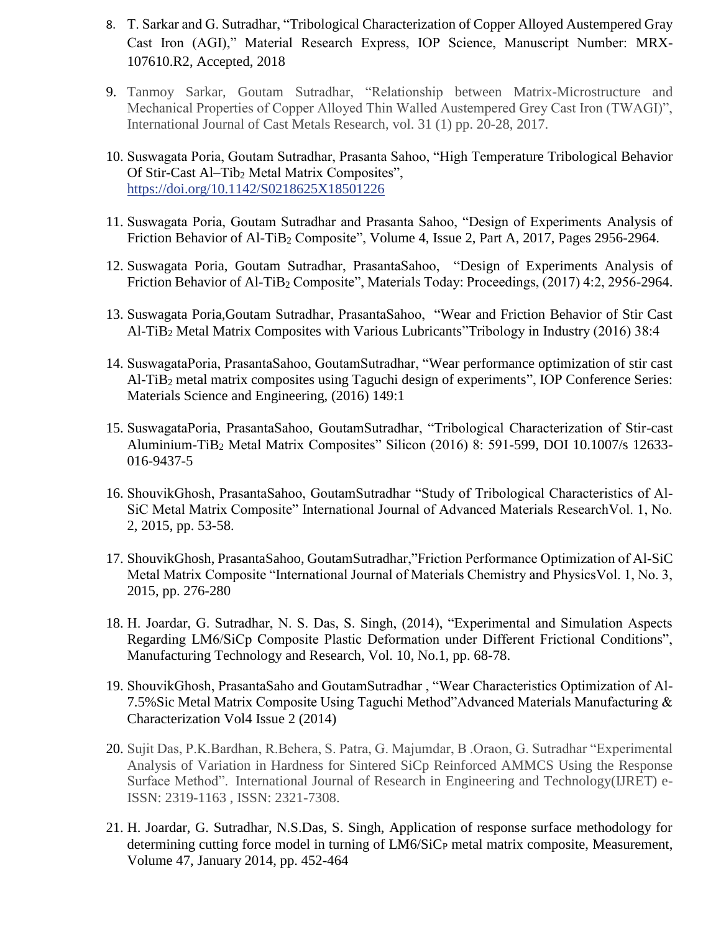- 8. T. Sarkar and G. Sutradhar, "Tribological Characterization of Copper Alloyed Austempered Gray Cast Iron (AGI)," Material Research Express, IOP Science, Manuscript Number: MRX-107610.R2, Accepted, 2018
- 9. Tanmoy Sarkar, Goutam Sutradhar, "Relationship between Matrix-Microstructure and Mechanical Properties of Copper Alloyed Thin Walled Austempered Grey Cast Iron (TWAGI)", International Journal of Cast Metals Research, vol. 31 (1) pp. 20-28, 2017.
- 10. Suswagata Poria, Goutam Sutradhar, Prasanta Sahoo, "High Temperature Tribological Behavior Of Stir-Cast Al–Tib<sub>2</sub> Metal Matrix Composites", <https://doi.org/10.1142/S0218625X18501226>
- 11. Suswagata Poria, Goutam Sutradhar and Prasanta Sahoo, "Design of Experiments Analysis of Friction Behavior of Al-TiB<sub>2</sub> Composite", [Volume 4, Issue 2, Part A,](https://www.sciencedirect.com/science/journal/22147853/4/2/part/PA) 2017, Pages 2956-2964.
- 12. Suswagata Poria, Goutam Sutradhar, PrasantaSahoo, "Design of Experiments Analysis of Friction Behavior of Al-TiB<sub>2</sub> Composite", Materials Today: Proceedings, (2017) 4:2, 2956-2964.
- 13. Suswagata Poria,Goutam Sutradhar, PrasantaSahoo, "Wear and Friction Behavior of Stir Cast Al-TiB<sup>2</sup> Metal Matrix Composites with Various Lubricants"Tribology in Industry (2016) 38:4
- 14. SuswagataPoria, PrasantaSahoo, GoutamSutradhar, "Wear performance optimization of stir cast Al-TiB<sup>2</sup> metal matrix composites using Taguchi design of experiments", IOP Conference Series: Materials Science and Engineering, (2016) 149:1
- 15. SuswagataPoria, PrasantaSahoo, GoutamSutradhar, "Tribological Characterization of Stir-cast Aluminium-TiB<sup>2</sup> Metal Matrix Composites" Silicon (2016) 8: 591-599, DOI 10.1007/s 12633- 016-9437-5
- 16. ShouvikGhosh, PrasantaSahoo, GoutamSutradhar "Study of Tribological Characteristics of Al-SiC Metal Matrix Composite" International Journal of Advanced Materials ResearchVol. 1, No. 2, 2015, pp. 53-58.
- 17. ShouvikGhosh, PrasantaSahoo, GoutamSutradhar,"Friction Performance Optimization of Al-SiC Metal Matrix Composite "International Journal of Materials Chemistry and PhysicsVol. 1, No. 3, 2015, pp. 276-280
- 18. H. Joardar, G. Sutradhar, N. S. Das, S. Singh, (2014), "Experimental and Simulation Aspects Regarding LM6/SiCp Composite Plastic Deformation under Different Frictional Conditions", Manufacturing Technology and Research, Vol. 10, No.1, pp. 68-78.
- 19. ShouvikGhosh, PrasantaSaho and GoutamSutradhar , "Wear Characteristics Optimization of Al-7.5%Sic Metal Matrix Composite Using Taguchi Method"Advanced Materials Manufacturing & Characterization Vol4 Issue 2 (2014)
- 20. Sujit Das, P.K.Bardhan, R.Behera, S. Patra, G. Majumdar, B .Oraon, G. Sutradhar "Experimental Analysis of Variation in Hardness for Sintered SiCp Reinforced AMMCS Using the Response Surface Method". International Journal of Research in Engineering and Technology(IJRET) e-ISSN: 2319-1163 , ISSN: 2321-7308.
- 21. H. Joardar, G. Sutradhar, N.S.Das, S. Singh, Application of response surface methodology for determining cutting force model in turning of  $LM6/SiC<sub>P</sub>$  metal matrix composite, Measurement, Volume 47, January 2014, pp. 452-464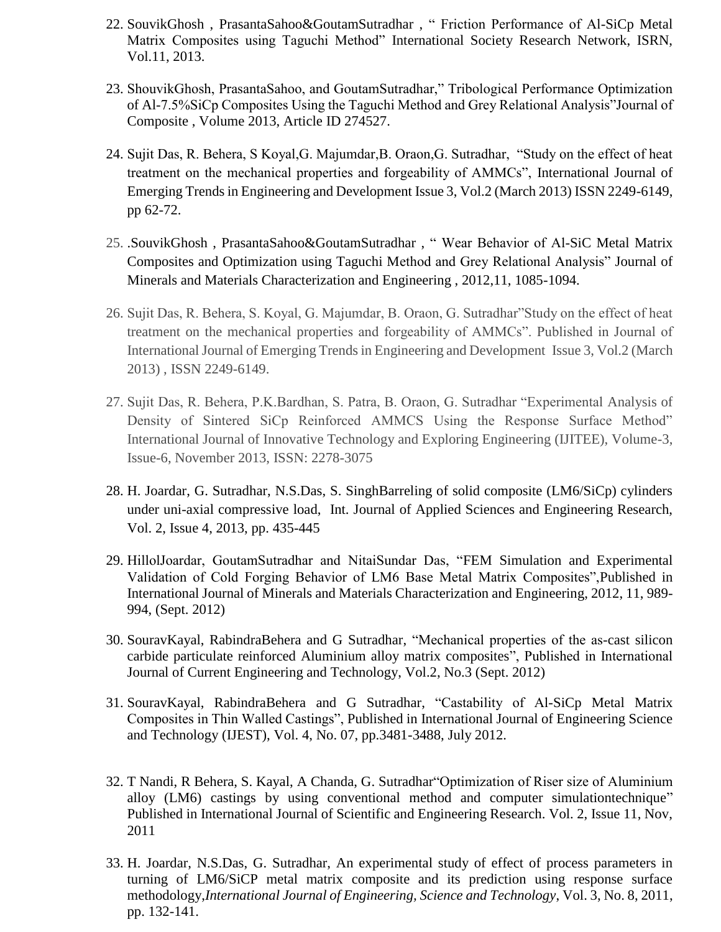- 22. SouvikGhosh , PrasantaSahoo&GoutamSutradhar , " Friction Performance of Al-SiCp Metal Matrix Composites using Taguchi Method" International Society Research Network, ISRN, Vol.11, 2013.
- 23. ShouvikGhosh, PrasantaSahoo, and GoutamSutradhar," Tribological Performance Optimization of Al-7.5%SiCp Composites Using the Taguchi Method and Grey Relational Analysis"Journal of Composite , Volume 2013, Article ID 274527.
- 24. Sujit Das, R. Behera, S Koyal,G. Majumdar,B. Oraon,G. Sutradhar, "Study on the effect of heat treatment on the mechanical properties and forgeability of AMMCs", International Journal of Emerging Trends in Engineering and Development Issue 3, Vol.2 (March 2013) ISSN 2249-6149, pp 62-72.
- 25. .SouvikGhosh , PrasantaSahoo&GoutamSutradhar , " Wear Behavior of Al-SiC Metal Matrix Composites and Optimization using Taguchi Method and Grey Relational Analysis" Journal of Minerals and Materials Characterization and Engineering , 2012,11, 1085-1094.
- 26. Sujit Das, R. Behera, S. Koyal, G. Majumdar, B. Oraon, G. Sutradhar"Study on the effect of heat treatment on the mechanical properties and forgeability of AMMCs". Published in Journal of International Journal of Emerging Trends in Engineering and Development Issue 3, Vol.2 (March 2013) , ISSN 2249-6149.
- 27. Sujit Das, R. Behera, P.K.Bardhan, S. Patra, B. Oraon, G. Sutradhar "Experimental Analysis of Density of Sintered SiCp Reinforced AMMCS Using the Response Surface Method" International Journal of Innovative Technology and Exploring Engineering (IJITEE), Volume-3, Issue-6, November 2013, ISSN: 2278-3075
- 28. H. Joardar, G. Sutradhar, N.S.Das, S. SinghBarreling of solid composite (LM6/SiCp) cylinders under uni-axial compressive load, Int. Journal of Applied Sciences and Engineering Research, Vol. 2, Issue 4, 2013, pp. 435-445
- 29. HillolJoardar, GoutamSutradhar and NitaiSundar Das, "FEM Simulation and Experimental Validation of Cold Forging Behavior of LM6 Base Metal Matrix Composites",Published in International Journal of Minerals and Materials Characterization and Engineering, 2012, 11, 989- 994, (Sept. 2012)
- 30. SouravKayal, RabindraBehera and G Sutradhar, "Mechanical properties of the as-cast silicon carbide particulate reinforced Aluminium alloy matrix composites", Published in International Journal of Current Engineering and Technology, Vol.2, No.3 (Sept. 2012)
- 31. SouravKayal, RabindraBehera and G Sutradhar, "Castability of Al-SiCp Metal Matrix Composites in Thin Walled Castings", Published in International Journal of Engineering Science and Technology (IJEST), Vol. 4, No. 07, pp.3481-3488, July 2012.
- 32. T Nandi, R Behera, S. Kayal, A Chanda, G. Sutradhar"Optimization of Riser size of Aluminium alloy (LM6) castings by using conventional method and computer simulationtechnique" Published in International Journal of Scientific and Engineering Research. Vol. 2, Issue 11, Nov, 2011
- 33. H. Joardar, N.S.Das, G. Sutradhar, An experimental study of effect of process parameters in turning of LM6/SiCP metal matrix composite and its prediction using response surface methodology,*International Journal of Engineering, Science and Technology*, Vol. 3, No. 8, 2011, pp. 132-141.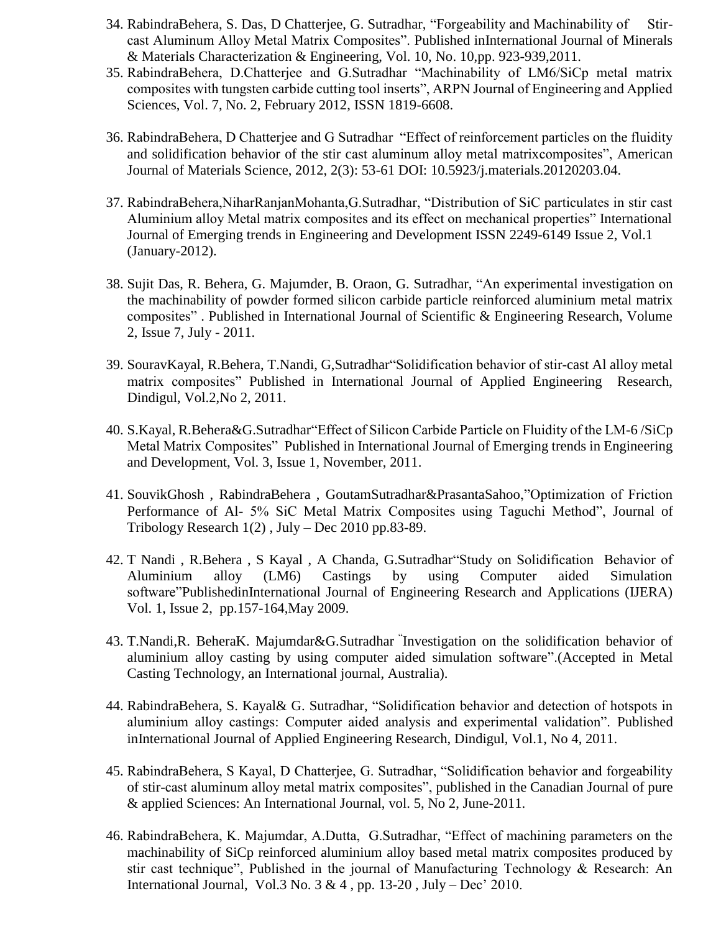- 34. RabindraBehera, S. Das, D Chatterjee, G. Sutradhar, "Forgeability and Machinability of Stircast Aluminum Alloy Metal Matrix Composites". Published inInternational Journal of Minerals & Materials Characterization & Engineering, Vol. 10, No. 10,pp. 923-939,2011.
- 35. RabindraBehera, D.Chatterjee and G.Sutradhar "Machinability of LM6/SiCp metal matrix composites with tungsten carbide cutting tool inserts", ARPN Journal of Engineering and Applied Sciences, Vol. 7, No. 2, February 2012, ISSN 1819-6608.
- 36. RabindraBehera, D Chatterjee and G Sutradhar "Effect of reinforcement particles on the fluidity and solidification behavior of the stir cast aluminum alloy metal matrixcomposites", American Journal of Materials Science, 2012, 2(3): 53-61 DOI: 10.5923/j.materials.20120203.04.
- 37. RabindraBehera,NiharRanjanMohanta,G.Sutradhar, "Distribution of SiC particulates in stir cast Aluminium alloy Metal matrix composites and its effect on mechanical properties" International Journal of Emerging trends in Engineering and Development ISSN 2249-6149 Issue 2, Vol.1 (January-2012).
- 38. Sujit Das, R. Behera, G. Majumder, B. Oraon, G. Sutradhar, "An experimental investigation on the machinability of powder formed silicon carbide particle reinforced aluminium metal matrix composites" . Published in International Journal of Scientific & Engineering Research, Volume 2, Issue 7, July - 2011.
- 39. SouravKayal, R.Behera, T.Nandi, G,Sutradhar"Solidification behavior of stir-cast Al alloy metal matrix composites" Published in International Journal of Applied Engineering Research, Dindigul, Vol.2,No 2, 2011.
- 40. S.Kayal, R.Behera&G.Sutradhar"Effect of Silicon Carbide Particle on Fluidity of the LM-6 /SiCp Metal Matrix Composites" Published in International Journal of Emerging trends in Engineering and Development, Vol. 3, Issue 1, November, 2011.
- 41. SouvikGhosh , RabindraBehera , GoutamSutradhar&PrasantaSahoo,"Optimization of Friction Performance of Al- 5% SiC Metal Matrix Composites using Taguchi Method", Journal of Tribology Research 1(2) , July – Dec 2010 pp.83-89.
- 42. T Nandi , R.Behera , S Kayal , A Chanda, G.Sutradhar"Study on Solidification Behavior of Aluminium alloy (LM6) Castings by using Computer aided Simulation software"PublishedinInternational Journal of Engineering Research and Applications (IJERA) Vol. 1, Issue 2, pp.157-164,May 2009.
- 43. T.Nandi,R. BeheraK. Majumdar&G.Sutradhar " Investigation on the solidification behavior of aluminium alloy casting by using computer aided simulation software".(Accepted in Metal Casting Technology, an International journal, Australia).
- 44. RabindraBehera, S. Kayal& G. Sutradhar, "Solidification behavior and detection of hotspots in aluminium alloy castings: Computer aided analysis and experimental validation". Published inInternational Journal of Applied Engineering Research, Dindigul, Vol.1, No 4, 2011.
- 45. RabindraBehera, S Kayal, D Chatterjee, G. Sutradhar, "Solidification behavior and forgeability of stir-cast aluminum alloy metal matrix composites", published in the Canadian Journal of pure & applied Sciences: An International Journal, vol. 5, No 2, June-2011.
- 46. RabindraBehera, K. Majumdar, A.Dutta, G.Sutradhar, "Effect of machining parameters on the machinability of SiCp reinforced aluminium alloy based metal matrix composites produced by stir cast technique", Published in the journal of Manufacturing Technology & Research: An International Journal, Vol.3 No.  $3 & 4$ , pp. 13-20, July – Dec' 2010.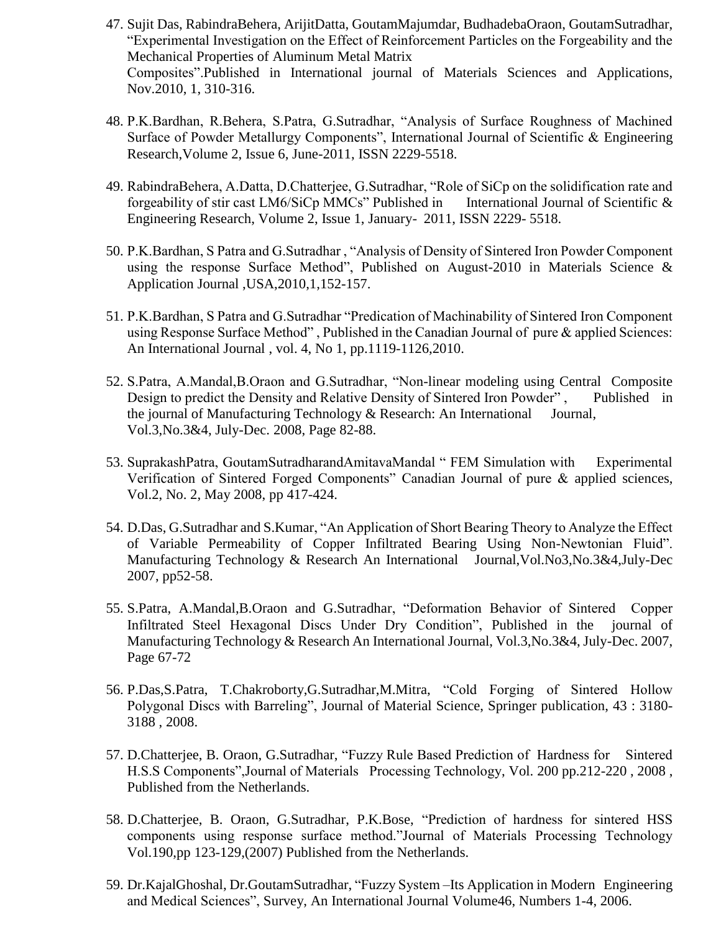- 47. Sujit Das, RabindraBehera, ArijitDatta, GoutamMajumdar, BudhadebaOraon, GoutamSutradhar, "Experimental Investigation on the Effect of Reinforcement Particles on the Forgeability and the Mechanical Properties of Aluminum Metal Matrix Composites".Published in International journal of Materials Sciences and Applications, Nov.2010, 1, 310-316.
- 48. P.K.Bardhan, R.Behera, S.Patra, G.Sutradhar, "Analysis of Surface Roughness of Machined Surface of Powder Metallurgy Components", International Journal of Scientific & Engineering Research,Volume 2, Issue 6, June-2011, ISSN 2229-5518.
- 49. RabindraBehera, A.Datta, D.Chatterjee, G.Sutradhar, "Role of SiCp on the solidification rate and forgeability of stir cast LM6/SiCp MMCs" Published in International Journal of Scientific  $\&$ Engineering Research, Volume 2, Issue 1, January- 2011, ISSN 2229- 5518.
- 50. P.K.Bardhan, S Patra and G.Sutradhar , "Analysis of Density of Sintered Iron Powder Component using the response Surface Method", Published on August-2010 in Materials Science & Application Journal ,USA,2010,1,152-157.
- 51. P.K.Bardhan, S Patra and G.Sutradhar "Predication of Machinability of Sintered Iron Component using Response Surface Method" , Published in the Canadian Journal of pure & applied Sciences: An International Journal , vol. 4, No 1, pp.1119-1126,2010.
- 52. S.Patra, A.Mandal,B.Oraon and G.Sutradhar, "Non-linear modeling using Central Composite Design to predict the Density and Relative Density of Sintered Iron Powder", Published in the journal of Manufacturing Technology & Research: An International Journal, Vol.3,No.3&4, July-Dec. 2008, Page 82-88.
- 53. SuprakashPatra, GoutamSutradharandAmitavaMandal " FEM Simulation with Experimental Verification of Sintered Forged Components" Canadian Journal of pure & applied sciences, Vol.2, No. 2, May 2008, pp 417-424.
- 54. D.Das, G.Sutradhar and S.Kumar, "An Application of Short Bearing Theory to Analyze the Effect of Variable Permeability of Copper Infiltrated Bearing Using Non-Newtonian Fluid". Manufacturing Technology & Research An International Journal,Vol.No3,No.3&4,July-Dec 2007, pp52-58.
- 55. S.Patra, A.Mandal,B.Oraon and G.Sutradhar, "Deformation Behavior of Sintered Copper Infiltrated Steel Hexagonal Discs Under Dry Condition", Published in the journal of Manufacturing Technology & Research An International Journal, Vol.3,No.3&4, July-Dec. 2007, Page 67-72
- 56. P.Das,S.Patra, T.Chakroborty,G.Sutradhar,M.Mitra, "Cold Forging of Sintered Hollow Polygonal Discs with Barreling", Journal of Material Science, Springer publication, 43 : 3180- 3188 , 2008.
- 57. D.Chatterjee, B. Oraon, G.Sutradhar, "Fuzzy Rule Based Prediction of Hardness for Sintered H.S.S Components",Journal of Materials Processing Technology, Vol. 200 pp.212-220 , 2008 , Published from the Netherlands.
- 58. D.Chatterjee, B. Oraon, G.Sutradhar, P.K.Bose, "Prediction of hardness for sintered HSS components using response surface method."Journal of Materials Processing Technology Vol.190,pp 123-129,(2007) Published from the Netherlands.
- 59. Dr.KajalGhoshal, Dr.GoutamSutradhar, "Fuzzy System –Its Application in Modern Engineering and Medical Sciences", Survey, An International Journal Volume46, Numbers 1-4, 2006.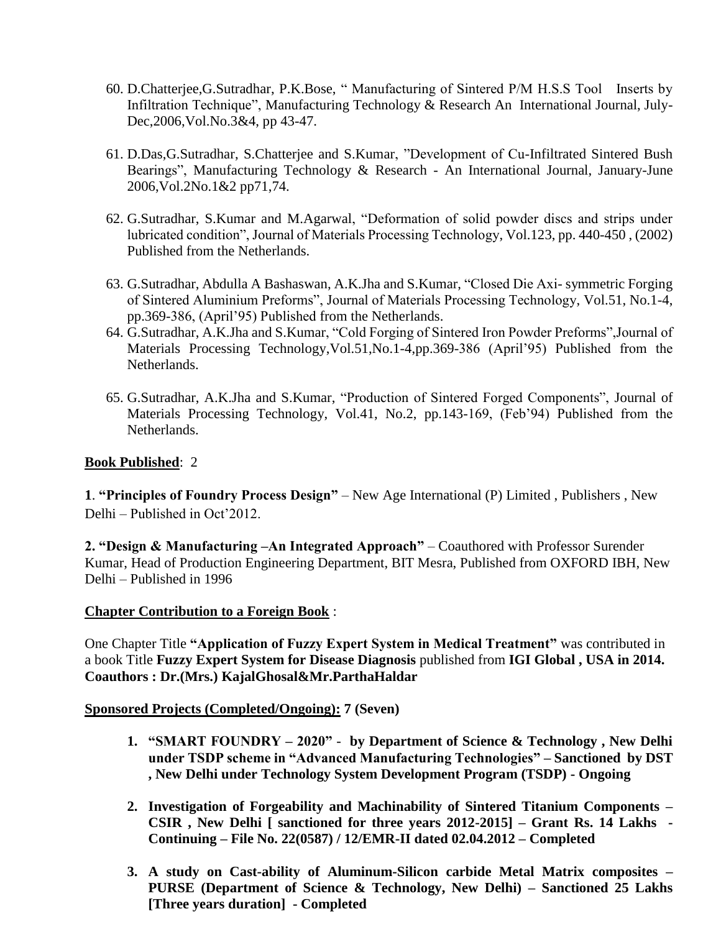- 60. D.Chatterjee,G.Sutradhar, P.K.Bose, " Manufacturing of Sintered P/M H.S.S Tool Inserts by Infiltration Technique", Manufacturing Technology & Research An International Journal, July-Dec,2006,Vol.No.3&4, pp 43-47.
- 61. D.Das,G.Sutradhar, S.Chatterjee and S.Kumar, "Development of Cu-Infiltrated Sintered Bush Bearings", Manufacturing Technology & Research - An International Journal, January-June 2006,Vol.2No.1&2 pp71,74.
- 62. G.Sutradhar, S.Kumar and M.Agarwal, "Deformation of solid powder discs and strips under lubricated condition", Journal of Materials Processing Technology, Vol.123, pp. 440-450 , (2002) Published from the Netherlands.
- 63. G.Sutradhar, Abdulla A Bashaswan, A.K.Jha and S.Kumar, "Closed Die Axi- symmetric Forging of Sintered Aluminium Preforms", Journal of Materials Processing Technology, Vol.51, No.1-4, pp.369-386, (April'95) Published from the Netherlands.
- 64. G.Sutradhar, A.K.Jha and S.Kumar, "Cold Forging of Sintered Iron Powder Preforms",Journal of Materials Processing Technology,Vol.51,No.1-4,pp.369-386 (April'95) Published from the Netherlands.
- 65. G.Sutradhar, A.K.Jha and S.Kumar, "Production of Sintered Forged Components", Journal of Materials Processing Technology, Vol.41, No.2, pp.143-169, (Feb'94) Published from the Netherlands.

## **Book Published**: 2

**1**. **"Principles of Foundry Process Design"** – New Age International (P) Limited , Publishers , New Delhi – Published in Oct'2012.

**2. "Design & Manufacturing –An Integrated Approach"** – Coauthored with Professor Surender Kumar, Head of Production Engineering Department, BIT Mesra, Published from OXFORD IBH, New Delhi – Published in 1996

### **Chapter Contribution to a Foreign Book** :

One Chapter Title **"Application of Fuzzy Expert System in Medical Treatment"** was contributed in a book Title **Fuzzy Expert System for Disease Diagnosis** published from **IGI Global , USA in 2014. Coauthors : Dr.(Mrs.) KajalGhosal&Mr.ParthaHaldar**

### **Sponsored Projects (Completed/Ongoing): 7 (Seven)**

- **1. "SMART FOUNDRY – 2020" by Department of Science & Technology , New Delhi under TSDP scheme in "Advanced Manufacturing Technologies" – Sanctioned by DST , New Delhi under Technology System Development Program (TSDP) - Ongoing**
- **2. Investigation of Forgeability and Machinability of Sintered Titanium Components – CSIR , New Delhi [ sanctioned for three years 2012-2015] – Grant Rs. 14 Lakhs - Continuing – File No. 22(0587) / 12/EMR-II dated 02.04.2012 – Completed**
- **3. A study on Cast-ability of Aluminum-Silicon carbide Metal Matrix composites PURSE (Department of Science & Technology, New Delhi) – Sanctioned 25 Lakhs [Three years duration] - Completed**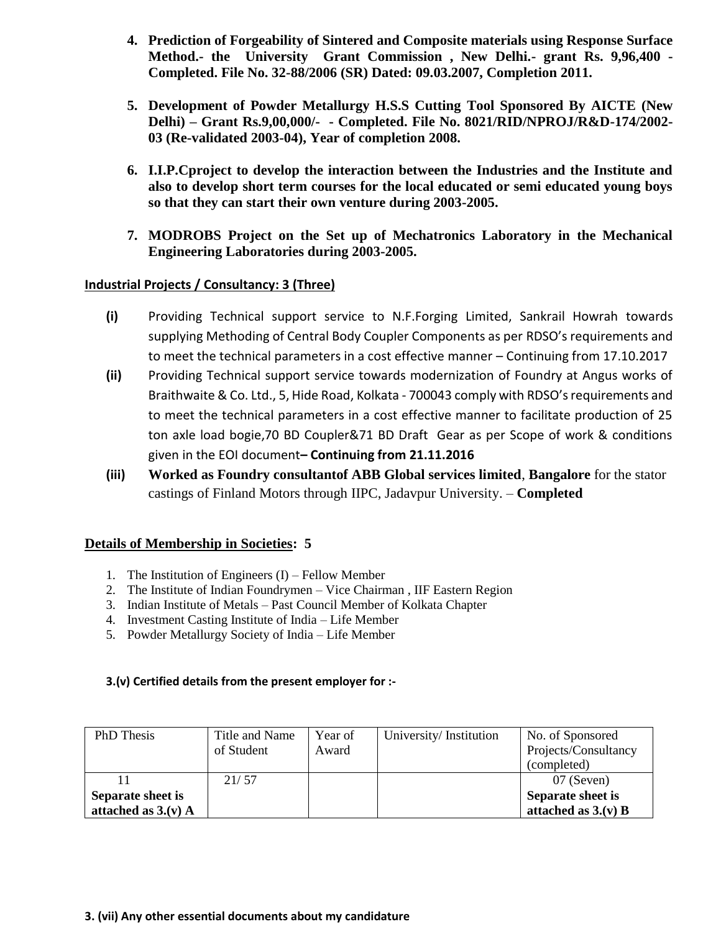- **4. Prediction of Forgeability of Sintered and Composite materials using Response Surface Method.- the University Grant Commission , New Delhi.- grant Rs. 9,96,400 - Completed. File No. 32-88/2006 (SR) Dated: 09.03.2007, Completion 2011.**
- **5. Development of Powder Metallurgy H.S.S Cutting Tool Sponsored By AICTE (New Delhi) – Grant Rs.9,00,000/- - Completed. File No. 8021/RID/NPROJ/R&D-174/2002- 03 (Re-validated 2003-04), Year of completion 2008.**
- **6. I.I.P.Cproject to develop the interaction between the Industries and the Institute and also to develop short term courses for the local educated or semi educated young boys so that they can start their own venture during 2003-2005.**
- **7. MODROBS Project on the Set up of Mechatronics Laboratory in the Mechanical Engineering Laboratories during 2003-2005.**

## **Industrial Projects / Consultancy: 3 (Three)**

- **(i)** Providing Technical support service to N.F.Forging Limited, Sankrail Howrah towards supplying Methoding of Central Body Coupler Components as per RDSO's requirements and to meet the technical parameters in a cost effective manner – Continuing from 17.10.2017
- **(ii)** Providing Technical support service towards modernization of Foundry at Angus works of Braithwaite & Co. Ltd., 5, Hide Road, Kolkata - 700043 comply with RDSO's requirements and to meet the technical parameters in a cost effective manner to facilitate production of 25 ton axle load bogie,70 BD Coupler&71 BD Draft Gear as per Scope of work & conditions given in the EOI document**– Continuing from 21.11.2016**
- **(iii) Worked as Foundry consultantof ABB Global services limited**, **Bangalore** for the stator castings of Finland Motors through IIPC, Jadavpur University. – **Completed**

## **Details of Membership in Societies: 5**

- 1. The Institution of Engineers (I) Fellow Member
- 2. The Institute of Indian Foundrymen Vice Chairman , IIF Eastern Region
- 3. Indian Institute of Metals Past Council Member of Kolkata Chapter
- 4. Investment Casting Institute of India Life Member
- 5. Powder Metallurgy Society of India Life Member

### **3.(v) Certified details from the present employer for :-**

| PhD Thesis            | Title and Name | Year of | University/Institution | No. of Sponsored      |
|-----------------------|----------------|---------|------------------------|-----------------------|
|                       | of Student     | Award   |                        | Projects/Consultancy  |
|                       |                |         |                        | (completed)           |
|                       | 21/57          |         |                        | 07 (Seven)            |
| Separate sheet is     |                |         |                        | Separate sheet is     |
| attached as $3.(v)$ A |                |         |                        | attached as $3.(v)$ B |